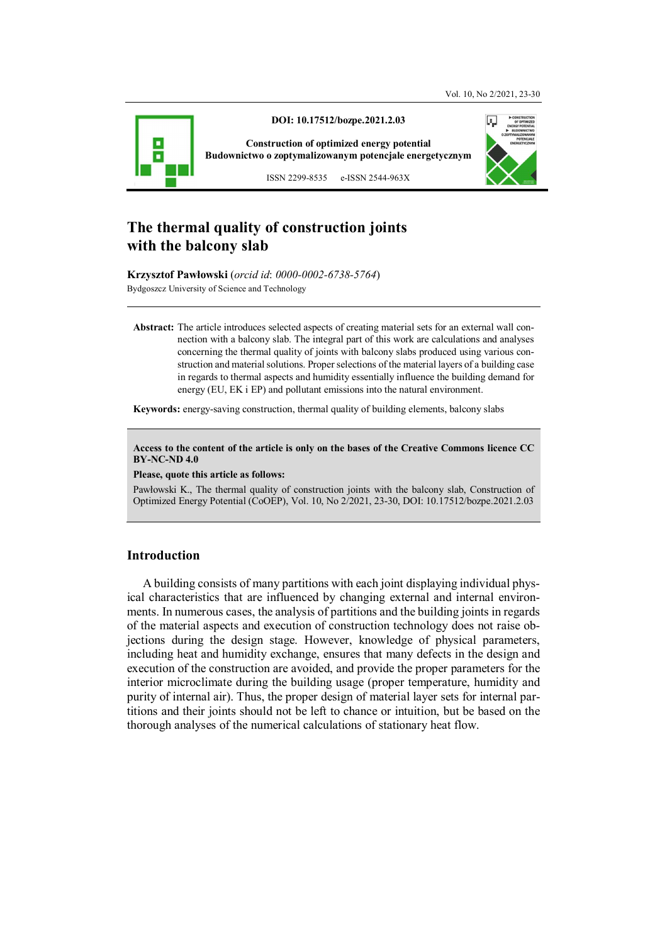

**DOI: 10.17512/bozpe.2021.2.03** 

**Construction of optimized energy potential Budownictwo o zoptymalizowanym potencjale energetycznym**

ISSN 2299-8535 e-ISSN 2544-963X

# **The thermal quality of construction joints with the balcony slab**

**Krzysztof Pawłowski** (*orcid id*: *0000-0002-6738-5764*) Bydgoszcz University of Science and Technology

**Abstract:** The article introduces selected aspects of creating material sets for an external wall connection with a balcony slab. The integral part of this work are calculations and analyses concerning the thermal quality of joints with balcony slabs produced using various construction and material solutions. Proper selections of the material layers of a building case in regards to thermal aspects and humidity essentially influence the building demand for energy (EU, EK i EP) and pollutant emissions into the natural environment.

**Keywords:** energy-saving construction, thermal quality of building elements, balcony slabs

**Access to the content of the article is only on the bases of the Creative Commons licence CC BY-NC-ND 4.0** 

**Please, quote this article as follows:** 

Pawłowski K., The thermal quality of construction joints with the balcony slab, Construction of Optimized Energy Potential (CoOEP), Vol. 10, No 2/2021, 23-30, DOI: 10.17512/bozpe.2021.2.03

### **Introduction**

A building consists of many partitions with each joint displaying individual physical characteristics that are influenced by changing external and internal environments. In numerous cases, the analysis of partitions and the building joints in regards of the material aspects and execution of construction technology does not raise objections during the design stage. However, knowledge of physical parameters, including heat and humidity exchange, ensures that many defects in the design and execution of the construction are avoided, and provide the proper parameters for the interior microclimate during the building usage (proper temperature, humidity and purity of internal air). Thus, the proper design of material layer sets for internal partitions and their joints should not be left to chance or intuition, but be based on the thorough analyses of the numerical calculations of stationary heat flow.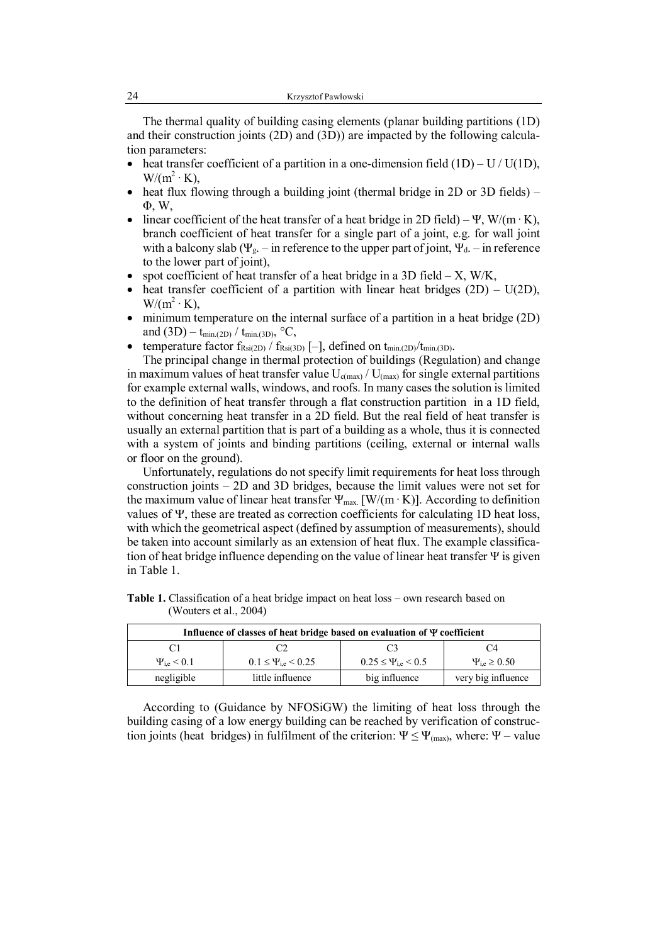The thermal quality of building casing elements (planar building partitions (1D) and their construction joints (2D) and (3D)) are impacted by the following calculation parameters:

- heat transfer coefficient of a partition in a one-dimension field  $(1D) U / U(1D)$ ,  $W/(m^2 \cdot K),$
- heat flux flowing through a building joint (thermal bridge in 2D or 3D fields) Φ, W,
- linear coefficient of the heat transfer of a heat bridge in 2D field) Ψ, W/(m · K), branch coefficient of heat transfer for a single part of a joint, e.g. for wall joint with a balcony slab ( $\Psi_{g}$ . – in reference to the upper part of joint,  $\Psi_{d}$ . – in reference to the lower part of joint),
- spot coefficient of heat transfer of a heat bridge in a 3D field X, W/K,
- heat transfer coefficient of a partition with linear heat bridges  $(2D) U(2D)$ ,  $W/(m^2 \cdot K),$
- minimum temperature on the internal surface of a partition in a heat bridge (2D) and  $(3D) - t_{min,(2D)} / t_{min,(3D)}$ , °C,
- temperature factor  $f_{Rsi(2D)} / f_{Rsi(3D)}$  [-], defined on  $t_{min.(2D)}/t_{min.(3D)}$ .

The principal change in thermal protection of buildings (Regulation) and change in maximum values of heat transfer value  $U_{c(max)} / U_{(max)}$  for single external partitions for example external walls, windows, and roofs. In many cases the solution is limited to the definition of heat transfer through a flat construction partition in a 1D field, without concerning heat transfer in a 2D field. But the real field of heat transfer is usually an external partition that is part of a building as a whole, thus it is connected with a system of joints and binding partitions (ceiling, external or internal walls or floor on the ground).

Unfortunately, regulations do not specify limit requirements for heat loss through construction joints – 2D and 3D bridges, because the limit values were not set for the maximum value of linear heat transfer  $\Psi_{\text{max}}$  [W/(m · K)]. According to definition values of  $\Psi$ , these are treated as correction coefficients for calculating 1D heat loss, with which the geometrical aspect (defined by assumption of measurements), should be taken into account similarly as an extension of heat flux. The example classification of heat bridge influence depending on the value of linear heat transfer  $\Psi$  is given in Table 1.

| Influence of classes of heat bridge based on evaluation of $\Psi$ coefficient |                                    |                                    |                       |  |  |  |  |
|-------------------------------------------------------------------------------|------------------------------------|------------------------------------|-----------------------|--|--|--|--|
| C1                                                                            |                                    | C <sup>3</sup>                     | C <sub>4</sub>        |  |  |  |  |
| $\Psi_{i,e}$ < 0.1                                                            | $0.1 \leq \Psi_{\rm ie} \leq 0.25$ | $0.25 \leq \Psi_{\rm ie} \leq 0.5$ | $\Psi_{i.e} \ge 0.50$ |  |  |  |  |
| negligible                                                                    | little influence                   | big influence                      | very big influence    |  |  |  |  |

**Table 1.** Classification of a heat bridge impact on heat loss – own research based on (Wouters et al., 2004)

According to (Guidance by NFOSiGW) the limiting of heat loss through the building casing of a low energy building can be reached by verification of construction joints (heat bridges) in fulfilment of the criterion:  $\Psi \leq \Psi_{\text{(max)}}$ , where:  $\Psi$  – value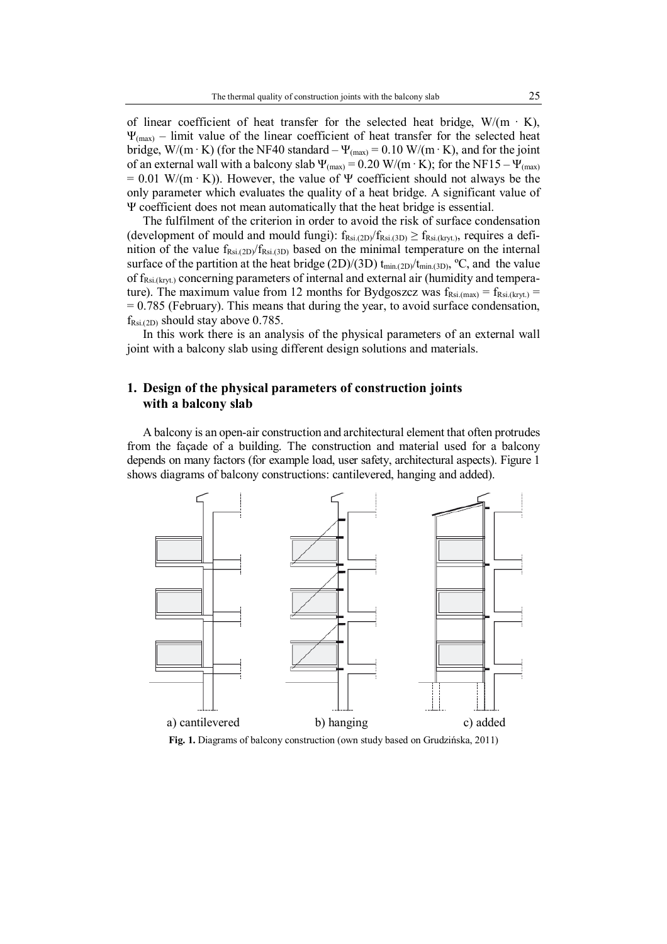of linear coefficient of heat transfer for the selected heat bridge,  $W/(m \cdot K)$ ,  $\Psi_{\text{max}}$  – limit value of the linear coefficient of heat transfer for the selected heat bridge, W/(m·K) (for the NF40 standard –  $\Psi_{(max)} = 0.10$  W/(m·K), and for the joint of an external wall with a balcony slab  $\Psi_{(max)} = 0.20$  W/(m·K); for the NF15 –  $\Psi_{(max)}$  $= 0.01$  W/(m  $\cdot$  K)). However, the value of  $\Psi$  coefficient should not always be the only parameter which evaluates the quality of a heat bridge. A significant value of Ψ coefficient does not mean automatically that the heat bridge is essential.

The fulfilment of the criterion in order to avoid the risk of surface condensation (development of mould and mould fungi):  $f_{Rsi(2D)}/f_{Rsi(3D)} \ge f_{Rsi(kryt)}$ , requires a definition of the value  $f_{Rsi.(2D)}/f_{Rsi.(3D)}$  based on the minimal temperature on the internal surface of the partition at the heat bridge (2D)/(3D)  $t_{min,(2D)}/t_{min,(3D)}$ , °C, and the value of f<sub>Rsi.(kryt.)</sub> concerning parameters of internal and external air (humidity and temperature). The maximum value from 12 months for Bydgoszcz was  $f_{Rsi(max)} = f_{Rsi,(krvt)} =$  $= 0.785$  (February). This means that during the year, to avoid surface condensation,  $f_{\text{Rsi.}(2D)}$  should stay above 0.785.

In this work there is an analysis of the physical parameters of an external wall joint with a balcony slab using different design solutions and materials.

## **1. Design of the physical parameters of construction joints with a balcony slab**

A balcony is an open-air construction and architectural element that often protrudes from the façade of a building. The construction and material used for a balcony depends on many factors (for example load, user safety, architectural aspects). Figure 1 shows diagrams of balcony constructions: cantilevered, hanging and added).



**Fig. 1.** Diagrams of balcony construction (own study based on Grudzińska, 2011)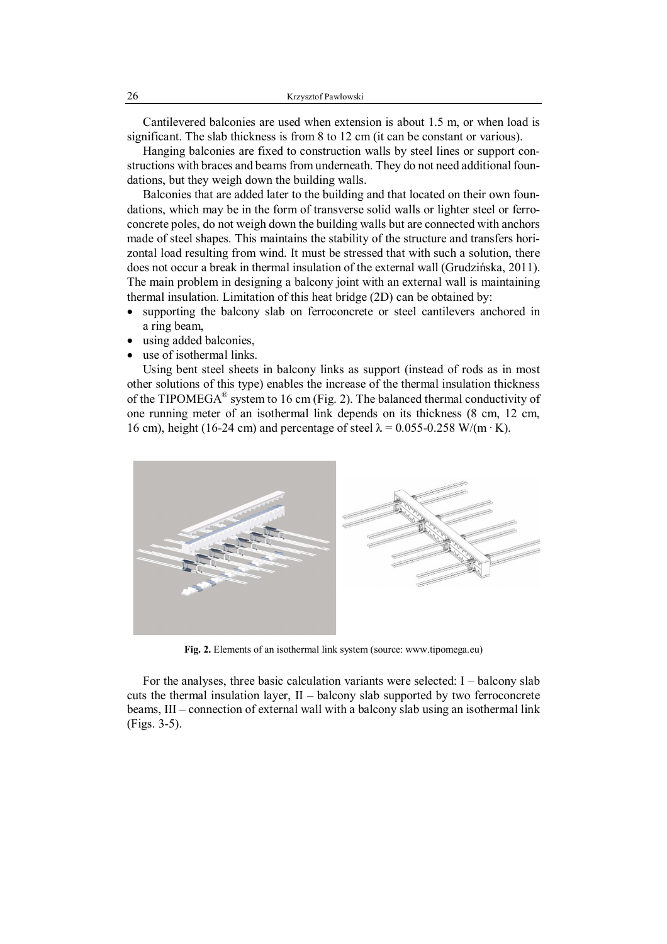Cantilevered balconies are used when extension is about 1.5 m, or when load is significant. The slab thickness is from 8 to 12 cm (it can be constant or various).

Hanging balconies are fixed to construction walls by steel lines or support constructions with braces and beams from underneath. They do not need additional foundations, but they weigh down the building walls.

Balconies that are added later to the building and that located on their own foundations, which may be in the form of transverse solid walls or lighter steel or ferroconcrete poles, do not weigh down the building walls but are connected with anchors made of steel shapes. This maintains the stability of the structure and transfers horizontal load resulting from wind. It must be stressed that with such a solution, there does not occur a break in thermal insulation of the external wall (Grudzińska, 2011). The main problem in designing a balcony joint with an external wall is maintaining thermal insulation. Limitation of this heat bridge (2D) can be obtained by:

- supporting the balcony slab on ferroconcrete or steel cantilevers anchored in a ring beam,
- using added balconies,
- use of isothermal links.

Using bent steel sheets in balcony links as support (instead of rods as in most other solutions of this type) enables the increase of the thermal insulation thickness of the TIPOMEGA® system to 16 cm (Fig. 2). The balanced thermal conductivity of one running meter of an isothermal link depends on its thickness (8 cm, 12 cm, 16 cm), height (16-24 cm) and percentage of steel  $\lambda = 0.055 - 0.258$  W/(m · K).



**Fig. 2.** Elements of an isothermal link system (source: www.tipomega.eu)

For the analyses, three basic calculation variants were selected:  $I -$  balcony slab cuts the thermal insulation layer, II – balcony slab supported by two ferroconcrete beams, III – connection of external wall with a balcony slab using an isothermal link (Figs. 3-5).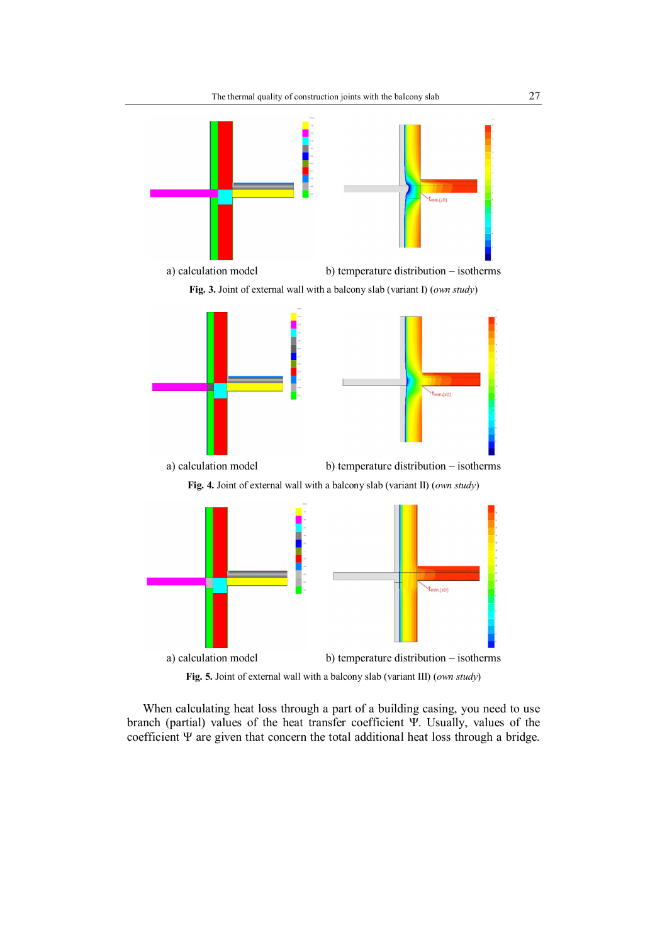

**Fig. 5.** Joint of external wall with a balcony slab (variant III) (*own study*)

When calculating heat loss through a part of a building casing, you need to use branch (partial) values of the heat transfer coefficient Ψ. Usually, values of the coefficient Ψ are given that concern the total additional heat loss through a bridge.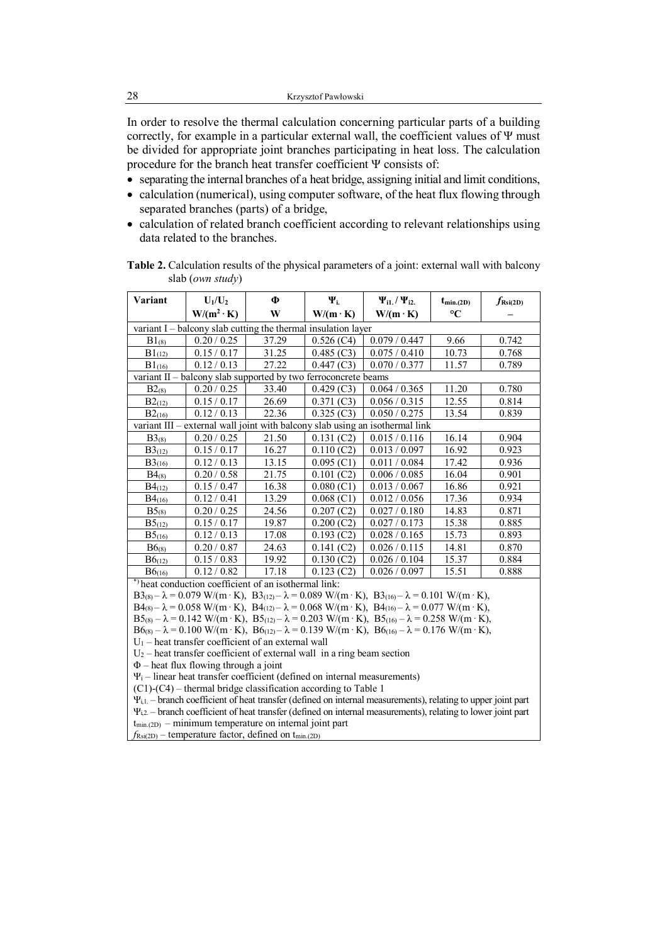In order to resolve the thermal calculation concerning particular parts of a building correctly, for example in a particular external wall, the coefficient values of  $\Psi$  must be divided for appropriate joint branches participating in heat loss. The calculation procedure for the branch heat transfer coefficient Ψ consists of:

- separating the internal branches of a heat bridge, assigning initial and limit conditions,
- calculation (numerical), using computer software, of the heat flux flowing through separated branches (parts) of a bridge,
- calculation of related branch coefficient according to relevant relationships using data related to the branches.

| Variant                                                                      | $U_1/U_2$         | Φ     | $\Psi_{i}$      | $\Psi_{i1.} / \Psi_{i2.}$ | $t_{\text{min,(2D)}}$ | $f_{\text{Rsi(2D)}}$ |  |
|------------------------------------------------------------------------------|-------------------|-------|-----------------|---------------------------|-----------------------|----------------------|--|
|                                                                              | $W/(m^2 \cdot K)$ | W     | $W/(m \cdot K)$ | $W/(m \cdot K)$           | $\rm ^{\circ}C$       |                      |  |
| variant I - balcony slab cutting the thermal insulation layer                |                   |       |                 |                           |                       |                      |  |
| $B1_{(8)}$                                                                   | 0.20 / 0.25       | 37.29 | 0.526(C4)       | 0.079 / 0.447             | 9.66                  | 0.742                |  |
| $B1_{(12)}$                                                                  | 0.15/0.17         | 31.25 | 0.485(C3)       | 0.075 / 0.410             | 10.73                 | 0.768                |  |
| $B1_{(16)}$                                                                  | 0.12 / 0.13       | 27.22 | 0.447(C3)       | 0.070 / 0.377             | 11.57                 | 0.789                |  |
| variant $II$ – balcony slab supported by two ferroconcrete beams             |                   |       |                 |                           |                       |                      |  |
| $B2_{(8)}$                                                                   | 0.20 / 0.25       | 33.40 | 0.429(C3)       | 0.064 / 0.365             | 11.20                 | 0.780                |  |
| B2(12)                                                                       | 0.15/0.17         | 26.69 | 0.371(C3)       | 0.056 / 0.315             | 12.55                 | 0.814                |  |
| $B2_{(16)}$                                                                  | 0.12 / 0.13       | 22.36 | 0.325(C3)       | 0.050 / 0.275             | 13.54                 | 0.839                |  |
| variant III – external wall joint with balcony slab using an isothermal link |                   |       |                 |                           |                       |                      |  |
| $B3_{(8)}$                                                                   | 0.20 / 0.25       | 21.50 | 0.131(C2)       | 0.015/0.116               | 16.14                 | 0.904                |  |
| $B3_{(12)}$                                                                  | 0.15/0.17         | 16.27 | 0.110(C2)       | 0.013 / 0.097             | 16.92                 | 0.923                |  |
| B3(16)                                                                       | 0.12 / 0.13       | 13.15 | 0.095(C1)       | 0.011 / 0.084             | 17.42                 | 0.936                |  |
| $B4_{(8)}$                                                                   | 0.20 / 0.58       | 21.75 | 0.101(C2)       | 0.006 / 0.085             | 16.04                 | 0.901                |  |
| $B4_{(12)}$                                                                  | 0.15/0.47         | 16.38 | 0.080(C1)       | 0.013 / 0.067             | 16.86                 | 0.921                |  |
| $B4_{(16)}$                                                                  | 0.12 / 0.41       | 13.29 | 0.068(C1)       | 0.012 / 0.056             | 17.36                 | 0.934                |  |
| $B5_{(8)}$                                                                   | 0.20 / 0.25       | 24.56 | 0.207(C2)       | 0.027 / 0.180             | 14.83                 | 0.871                |  |
| $B5_{(12)}$                                                                  | 0.15/0.17         | 19.87 | 0.200(C2)       | 0.027 / 0.173             | 15.38                 | 0.885                |  |
| B5(16)                                                                       | 0.12 / 0.13       | 17.08 | 0.193(C2)       | 0.028 / 0.165             | 15.73                 | 0.893                |  |
| B6(8)                                                                        | 0.20 / 0.87       | 24.63 | 0.141(C2)       | 0.026 / 0.115             | 14.81                 | 0.870                |  |
| $B6_{(12)}$                                                                  | 0.15/0.83         | 19.92 | 0.130(C2)       | 0.026 / 0.104             | 15.37                 | 0.884                |  |
| B6(16)                                                                       | 0.12 / 0.82       | 17.18 | 0.123(C2)       | 0.026 / 0.097             | 15.51                 | 0.888                |  |
| *) heat conduction coefficient of an isothermal link.                        |                   |       |                 |                           |                       |                      |  |

**Table 2.** Calculation results of the physical parameters of a joint: external wall with balcony slab (*own study*)

\*) heat conduction coefficient of an isothermal link:

 $B3_{(8)} - \lambda = 0.079$  W/(m·K),  $B3_{(12)} - \lambda = 0.089$  W/(m·K),  $B3_{(16)} - \lambda = 0.101$  W/(m·K),

 $B4_{(8)} - \lambda = 0.058$  W/(m·K),  $B4_{(12)} - \lambda = 0.068$  W/(m·K),  $B4_{(16)} - \lambda = 0.077$  W/(m·K),

 $B5_{(8)} - \lambda = 0.142 \text{ W/(m} \cdot \text{K)}$ ,  $B5_{(12)} - \lambda = 0.203 \text{ W/(m} \cdot \text{K)}$ ,  $B5_{(16)} - \lambda = 0.258 \text{ W/(m} \cdot \text{K)}$ ,

 $B6_{(8)} - \lambda = 0.100$  W/(m·K),  $B6_{(12)} - \lambda = 0.139$  W/(m·K),  $B6_{(16)} - \lambda = 0.176$  W/(m·K),

 $U_1$  – heat transfer coefficient of an external wall

 $U_2$  – heat transfer coefficient of external wall in a ring beam section

Φ – heat flux flowing through a joint

 $\Psi_i$  – linear heat transfer coefficient (defined on internal measurements)

(C1)-(C4) – thermal bridge classification according to Table 1

 $\Psi_{i,1}$ . – branch coefficient of heat transfer (defined on internal measurements), relating to upper joint part

Ψi,2. – branch coefficient of heat transfer (defined on internal measurements), relating to lower joint part  $t_{min,(2D)}$  – minimum temperature on internal joint part

 $f_{\text{Rsi(2D)}}$  – temperature factor, defined on  $t_{\text{min.(2D)}}$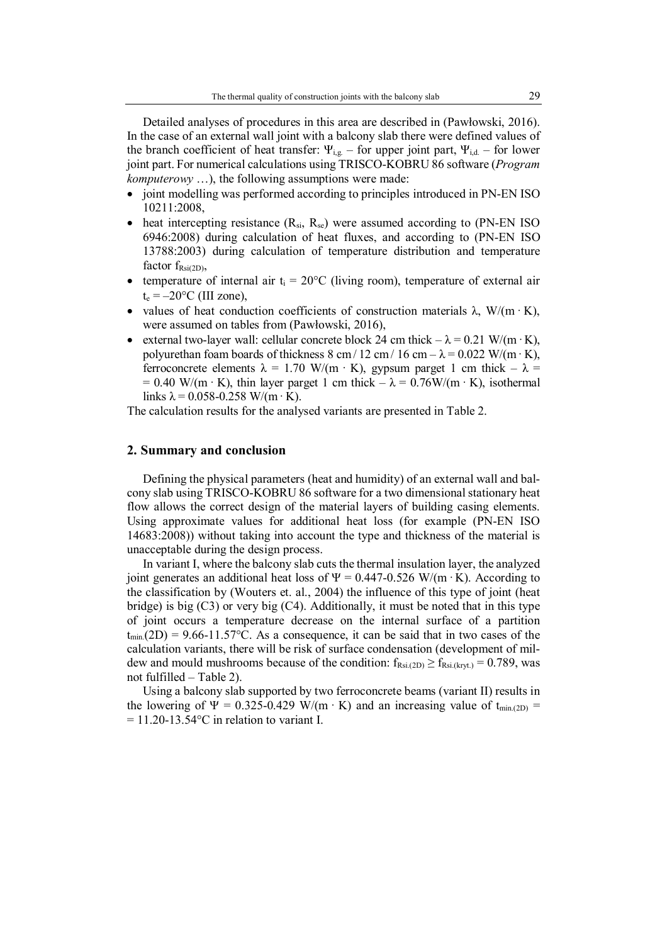Detailed analyses of procedures in this area are described in (Pawłowski, 2016). In the case of an external wall joint with a balcony slab there were defined values of the branch coefficient of heat transfer:  $\Psi_{i,g}$  – for upper joint part,  $\Psi_{i,d}$  – for lower joint part. For numerical calculations using TRISCO-KOBRU 86 software (*Program komputerowy* …), the following assumptions were made:

- joint modelling was performed according to principles introduced in PN-EN ISO 10211:2008,
- heat intercepting resistance  $(R_{si}, R_{se})$  were assumed according to (PN-EN ISO 6946:2008) during calculation of heat fluxes, and according to (PN-EN ISO 13788:2003) during calculation of temperature distribution and temperature factor  $f_{\text{Rsi(2D)}}$ ,
- temperature of internal air  $t_i = 20$ °C (living room), temperature of external air  $t_e = -20$ °C (III zone),
- values of heat conduction coefficients of construction materials  $\lambda$ , W/(m · K), were assumed on tables from (Pawłowski, 2016),
- external two-layer wall: cellular concrete block 24 cm thick  $-\lambda = 0.21$  W/(m · K), polyurethan foam boards of thickness 8 cm / 12 cm / 16 cm –  $\lambda$  = 0.022 W/(m · K), ferroconcrete elements  $\lambda = 1.70 \text{ W/(m} \cdot \text{K)}$ , gypsum parget 1 cm thick  $-\lambda =$ = 0.40 W/(m · K), thin layer parget 1 cm thick  $-\lambda = 0.76W/(m \cdot K)$ , isothermal links  $\lambda$  = 0.058-0.258 W/(m · K).

The calculation results for the analysed variants are presented in Table 2.

#### **2. Summary and conclusion**

Defining the physical parameters (heat and humidity) of an external wall and balcony slab using TRISCO-KOBRU 86 software for a two dimensional stationary heat flow allows the correct design of the material layers of building casing elements. Using approximate values for additional heat loss (for example (PN-EN ISO 14683:2008)) without taking into account the type and thickness of the material is unacceptable during the design process.

In variant I, where the balcony slab cuts the thermal insulation layer, the analyzed joint generates an additional heat loss of  $\Psi = 0.447 - 0.526$  W/(m·K). According to the classification by (Wouters et. al., 2004) the influence of this type of joint (heat bridge) is big (C3) or very big (C4). Additionally, it must be noted that in this type of joint occurs a temperature decrease on the internal surface of a partition  $t_{min}(2D) = 9.66-11.57$ °C. As a consequence, it can be said that in two cases of the calculation variants, there will be risk of surface condensation (development of mildew and mould mushrooms because of the condition:  $f_{\text{Rsi.}(2D)} \ge f_{\text{Rsi.}(kryt.)} = 0.789$ , was not fulfilled – Table 2).

Using a balcony slab supported by two ferroconcrete beams (variant II) results in the lowering of  $\Psi = 0.325-0.429$  W/(m · K) and an increasing value of t<sub>min.(2D)</sub> =  $= 11.20 - 13.54$ °C in relation to variant I.